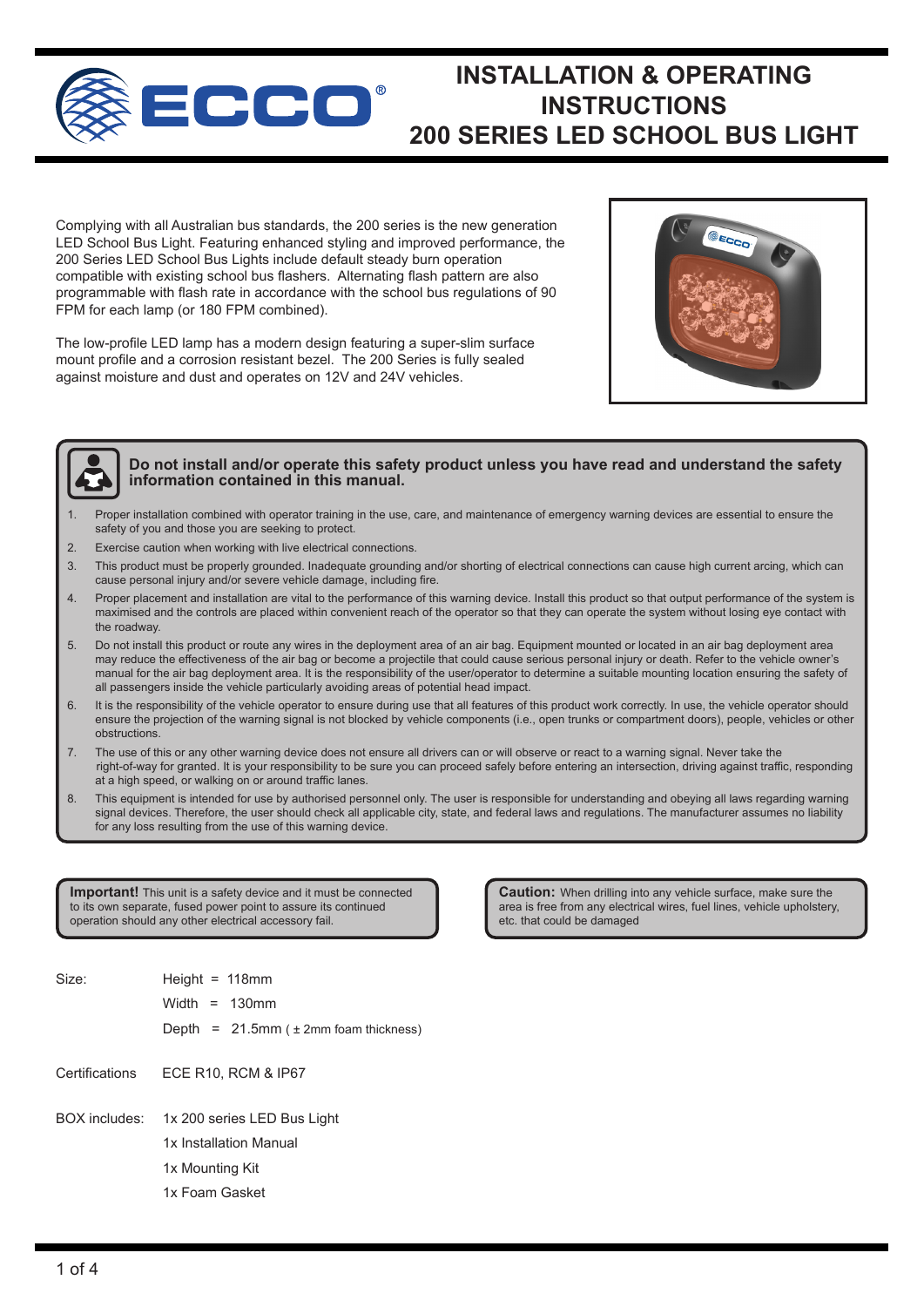

# **INSTALLATION & OPERATING INSTRUCTIONS 200 SERIES LED SCHOOL BUS LIGHT**

Complying with all Australian bus standards, the 200 series is the new generation LED School Bus Light. Featuring enhanced styling and improved performance, the 200 Series LED School Bus Lights include default steady burn operation compatible with existing school bus flashers. Alternating flash pattern are also programmable with flash rate in accordance with the school bus regulations of 90 FPM for each lamp (or 180 FPM combined).

The low-profile LED lamp has a modern design featuring a super-slim surface mount profile and a corrosion resistant bezel. The 200 Series is fully sealed against moisture and dust and operates on 12V and 24V vehicles.





### **Do not install and/or operate this safety product unless you have read and understand the safety information contained in this manual.**

- Proper installation combined with operator training in the use, care, and maintenance of emergency warning devices are essential to ensure the safety of you and those you are seeking to protect.
- 2. Exercise caution when working with live electrical connections.
- 3. This product must be properly grounded. Inadequate grounding and/or shorting of electrical connections can cause high current arcing, which can cause personal injury and/or severe vehicle damage, including fire.
- 4. Proper placement and installation are vital to the performance of this warning device. Install this product so that output performance of the system is maximised and the controls are placed within convenient reach of the operator so that they can operate the system without losing eye contact with the roadway.
- 5. Do not install this product or route any wires in the deployment area of an air bag. Equipment mounted or located in an air bag deployment area may reduce the effectiveness of the air bag or become a projectile that could cause serious personal injury or death. Refer to the vehicle owner's manual for the air bag deployment area. It is the responsibility of the user/operator to determine a suitable mounting location ensuring the safety of all passengers inside the vehicle particularly avoiding areas of potential head impact.
- 6. It is the responsibility of the vehicle operator to ensure during use that all features of this product work correctly. In use, the vehicle operator should ensure the projection of the warning signal is not blocked by vehicle components (i.e., open trunks or compartment doors), people, vehicles or other obstructions.
- 7. The use of this or any other warning device does not ensure all drivers can or will observe or react to a warning signal. Never take the right-of-way for granted. It is your responsibility to be sure you can proceed safely before entering an intersection, driving against traffic, responding at a high speed, or walking on or around traffic lanes.
- 8. This equipment is intended for use by authorised personnel only. The user is responsible for understanding and obeying all laws regarding warning signal devices. Therefore, the user should check all applicable city, state, and federal laws and regulations. The manufacturer assumes no liability for any loss resulting from the use of this warning device.

**Important!** This unit is a safety device and it must be connected to its own separate, fused power point to assure its continued operation should any other electrical accessory fail.

**Caution:** When drilling into any vehicle surface, make sure the area is free from any electrical wires, fuel lines, vehicle upholstery, etc. that could be damaged

1x 200 series LED Bus Light 1x Installation Manual 1x Mounting Kit 1x Foam Gasket BOX includes: Height =  $118$ mm Width = 130mm Depth =  $21.5$ mm ( $\pm$  2mm foam thickness) Size: Certifications ECE R10, RCM & IP67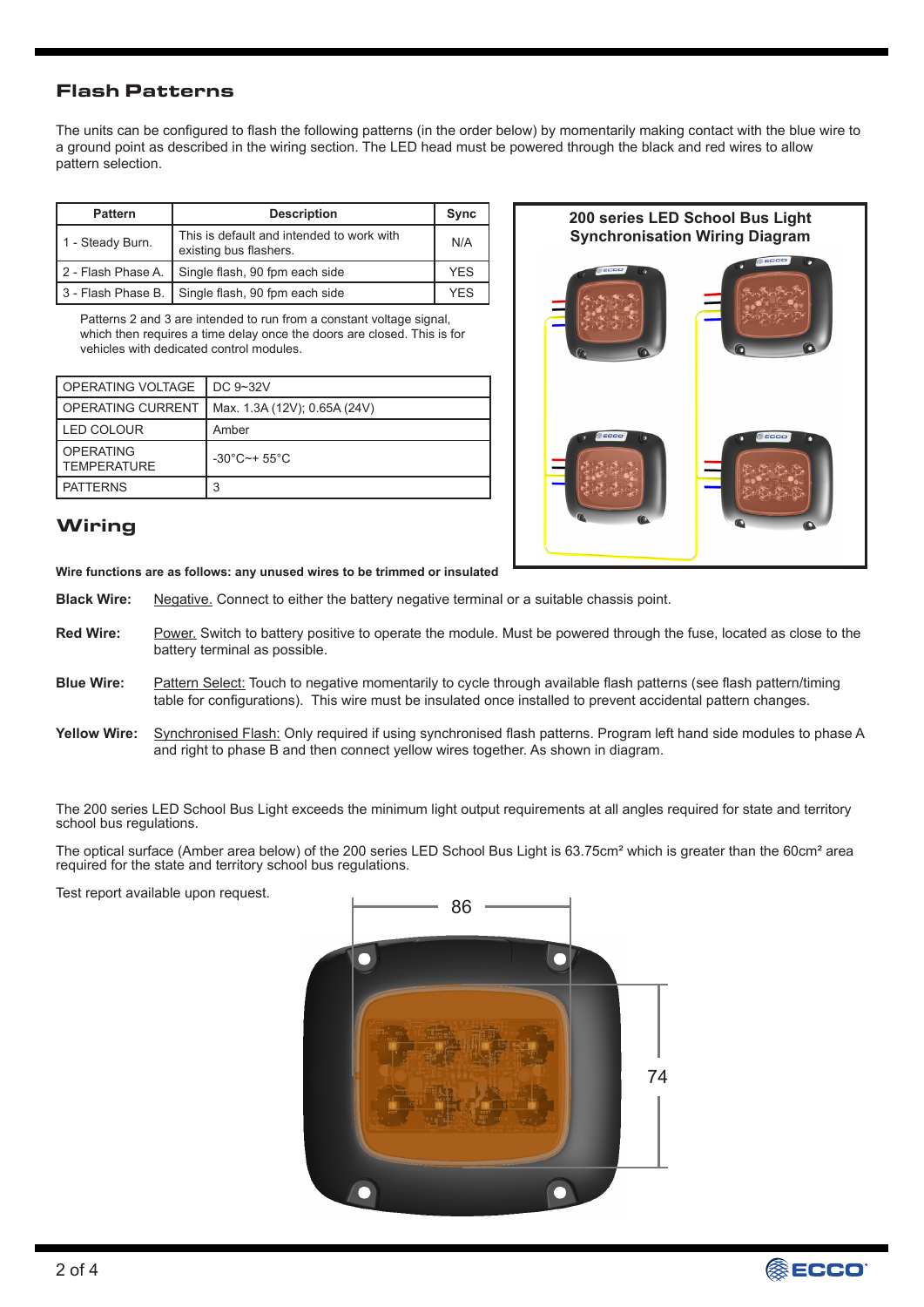## Flash Patterns

The units can be configured to flash the following patterns (in the order below) by momentarily making contact with the blue wire to a ground point as described in the wiring section. The LED head must be powered through the black and red wires to allow pattern selection.

| <b>Pattern</b>         | <b>Description</b>                                                  | Sync       |
|------------------------|---------------------------------------------------------------------|------------|
| 1 - Steady Burn.       | This is default and intended to work with<br>existing bus flashers. | N/A        |
| 2 - Flash Phase A.     | Single flash, 90 fpm each side                                      | <b>YFS</b> |
| I 3 - Flash Phase B. I | Single flash, 90 fpm each side                                      | YFS        |

Patterns 2 and 3 are intended to run from a constant voltage signal, which then requires a time delay once the doors are closed. This is for vehicles with dedicated control modules.

| I OPERATING VOLTAGE                    | DC 9~32V                         |
|----------------------------------------|----------------------------------|
| I OPERATING CURRENT                    | Max. 1.3A (12V); 0.65A (24V)     |
| LED COLOUR                             | Amber                            |
| <b>OPERATING</b><br><b>TEMPERATURE</b> | $-30^{\circ}$ C $-+55^{\circ}$ C |
| <b>PATTERNS</b>                        | 3                                |

# **200 series LED School Bus Light Synchronisation Wiring Diagram**

## **Wiring**

**Wire functions are as follows: any unused wires to be trimmed or insulated**

- Negative. Connect to either the battery negative terminal or a suitable chassis point. **Black Wire:**
- Power. Switch to battery positive to operate the module. Must be powered through the fuse, located as close to the battery terminal as possible. **Red Wire:**
- Pattern Select: Touch to negative momentarily to cycle through available flash patterns (see flash pattern/timing table for configurations). This wire must be insulated once installed to prevent accidental pattern changes. **Blue Wire:**
- Synchronised Flash: Only required if using synchronised flash patterns. Program left hand side modules to phase A and right to phase B and then connect yellow wires together. As shown in diagram. **Yellow Wire:**

The 200 series LED School Bus Light exceeds the minimum light output requirements at all angles required for state and territory school bus regulations.

The optical surface (Amber area below) of the 200 series LED School Bus Light is 63.75cm² which is greater than the 60cm² area required for the state and territory school bus regulations.

Test report available upon request.



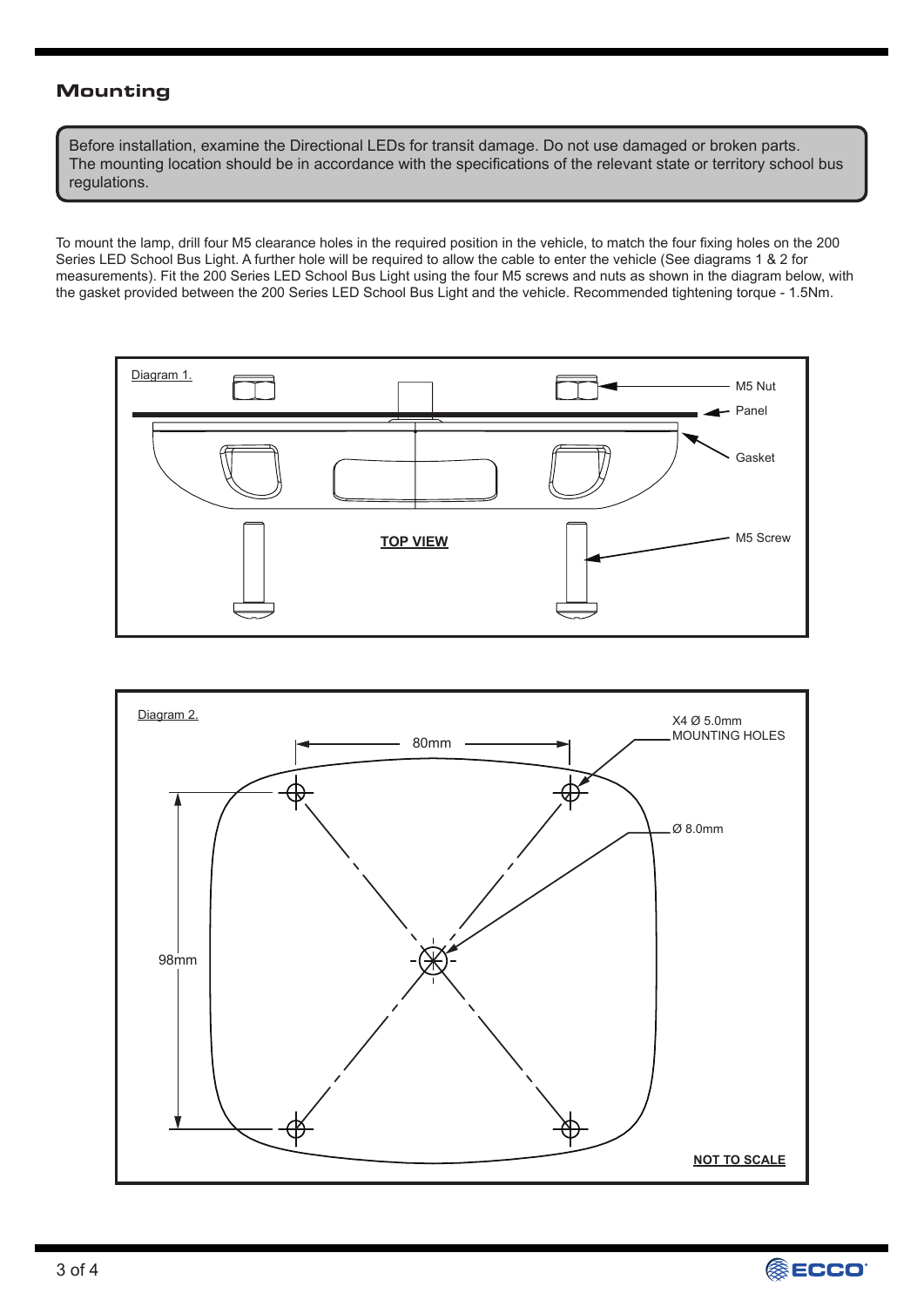## Mounting

Before installation, examine the Directional LEDs for transit damage. Do not use damaged or broken parts. The mounting location should be in accordance with the specifications of the relevant state or territory school bus regulations.

To mount the lamp, drill four M5 clearance holes in the required position in the vehicle, to match the four fixing holes on the 200 Series LED School Bus Light. A further hole will be required to allow the cable to enter the vehicle (See diagrams 1 & 2 for measurements). Fit the 200 Series LED School Bus Light using the four M5 screws and nuts as shown in the diagram below, with the gasket provided between the 200 Series LED School Bus Light and the vehicle. Recommended tightening torque - 1.5Nm.